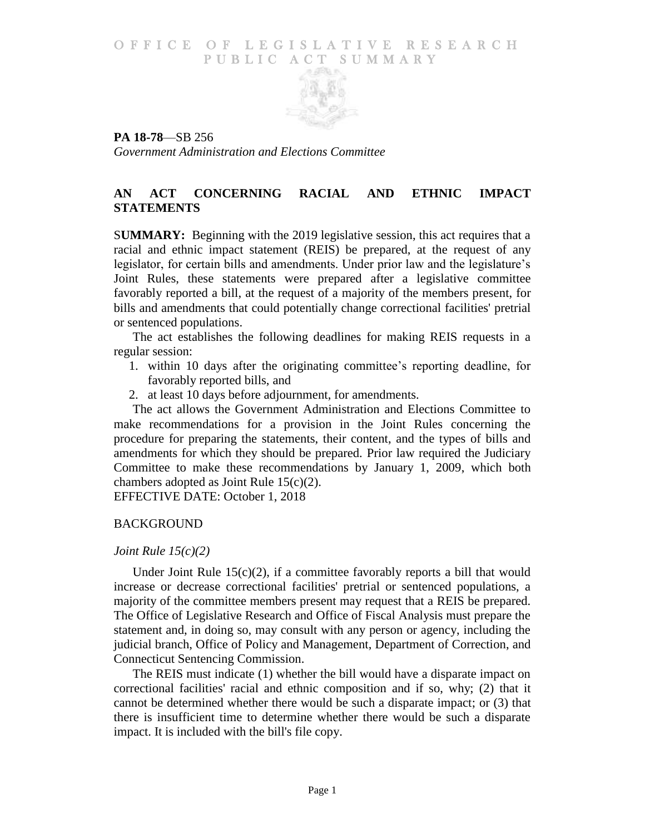### O F FICE OF LEGISLATIVE RESEARCH PUBLIC ACT SUMMARY



**PA 18-78**—SB 256 *Government Administration and Elections Committee*

## **AN ACT CONCERNING RACIAL AND ETHNIC IMPACT STATEMENTS**

S**UMMARY:** Beginning with the 2019 legislative session, this act requires that a racial and ethnic impact statement (REIS) be prepared, at the request of any legislator, for certain bills and amendments. Under prior law and the legislature's Joint Rules, these statements were prepared after a legislative committee favorably reported a bill, at the request of a majority of the members present, for bills and amendments that could potentially change correctional facilities' pretrial or sentenced populations.

The act establishes the following deadlines for making REIS requests in a regular session:

- 1. within 10 days after the originating committee's reporting deadline, for favorably reported bills, and
- 2. at least 10 days before adjournment, for amendments.

The act allows the Government Administration and Elections Committee to make recommendations for a provision in the Joint Rules concerning the procedure for preparing the statements, their content, and the types of bills and amendments for which they should be prepared. Prior law required the Judiciary Committee to make these recommendations by January 1, 2009, which both chambers adopted as Joint Rule 15(c)(2).

EFFECTIVE DATE: October 1, 2018

#### BACKGROUND

#### *Joint Rule 15(c)(2)*

Under Joint Rule  $15(c)(2)$ , if a committee favorably reports a bill that would increase or decrease correctional facilities' pretrial or sentenced populations, a majority of the committee members present may request that a REIS be prepared. The Office of Legislative Research and Office of Fiscal Analysis must prepare the statement and, in doing so, may consult with any person or agency, including the judicial branch, Office of Policy and Management, Department of Correction, and Connecticut Sentencing Commission.

The REIS must indicate (1) whether the bill would have a disparate impact on correctional facilities' racial and ethnic composition and if so, why; (2) that it cannot be determined whether there would be such a disparate impact; or (3) that there is insufficient time to determine whether there would be such a disparate impact. It is included with the bill's file copy.